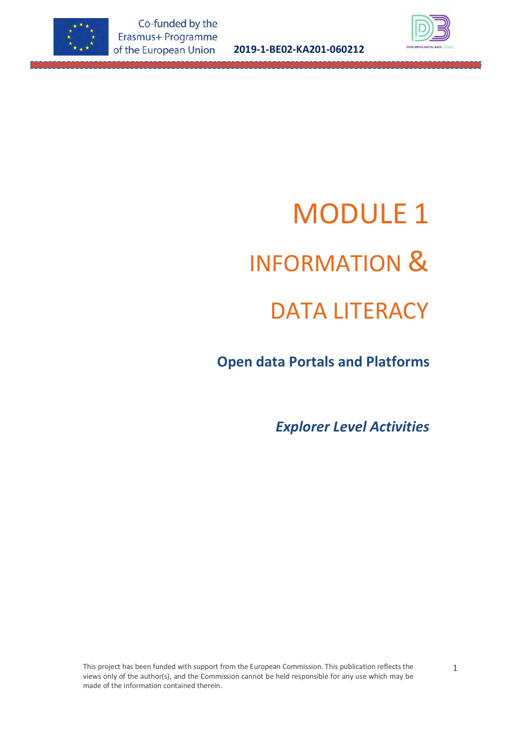

**2019-1-BE02-KA201-060212**



# MODULE 1 INFORMATION & DATA LITERACY

 **Open data Portals and Platforms**

*Explorer Level Activities*

This project has been funded with support from the European Commission. This publication reflects the views only of the author(s), and the Commission cannot be held responsible for any use which may be made of the information contained therein.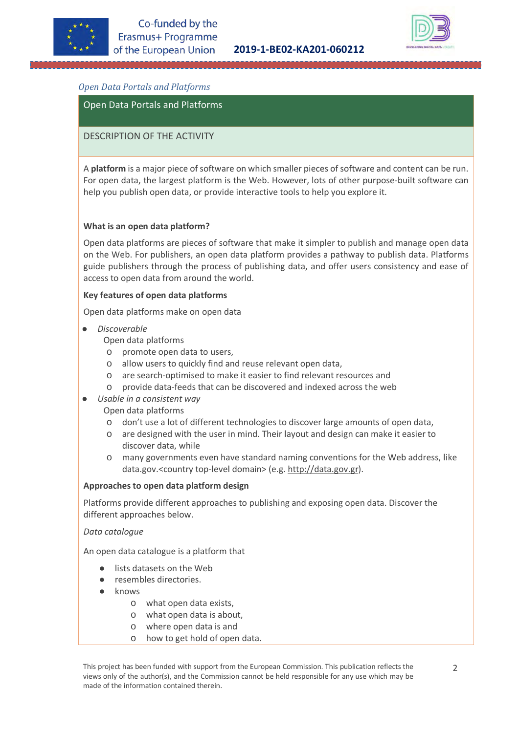



# *Open Data Portals and Platforms*

Open Data Portals and Platforms

## DESCRIPTION OF THE ACTIVITY

A **platform** is a major piece of software on which smaller pieces of software and content can be run. For open data, the largest platform is the Web. However, lots of other purpose-built software can help you publish open data, or provide interactive tools to help you explore it.

#### **What is an open data platform?**

Open data platforms are pieces of software that make it simpler to publish and manage open data on the Web. For publishers, an open data platform provides a pathway to publish data. Platforms guide publishers through the process of publishing data, and offer users consistency and ease of access to open data from around the world.

#### **Key features of open data platforms**

Open data platforms make on open data

● *Discoverable*

Open data platforms

- o promote open data to users,
- o allow users to quickly find and reuse relevant open data,
- o are search-optimised to make it easier to find relevant resources and
- o provide data-feeds that can be discovered and indexed across the web
- *Usable in a consistent way*

Open data platforms

- o don't use a lot of different technologies to discover large amounts of open data,
- o are designed with the user in mind. Their layout and design can make it easier to discover data, while
- o many governments even have standard naming conventions for the Web address, like data.gov.<country top-level domain> (e.g. [http://data.gov.gr\)](http://data.gov.gr/).

#### **Approaches to open data platform design**

Platforms provide different approaches to publishing and exposing open data. Discover the different approaches below.

#### *Data catalogue*

An open data catalogue is a platform that

- lists datasets on the Web
- resembles directories.
- knows
	- o what open data exists,
	- o what open data is about,
	- o where open data is and
	- o how to get hold of open data.

This project has been funded with support from the European Commission. This publication reflects the views only of the author(s), and the Commission cannot be held responsible for any use which may be made of the information contained therein.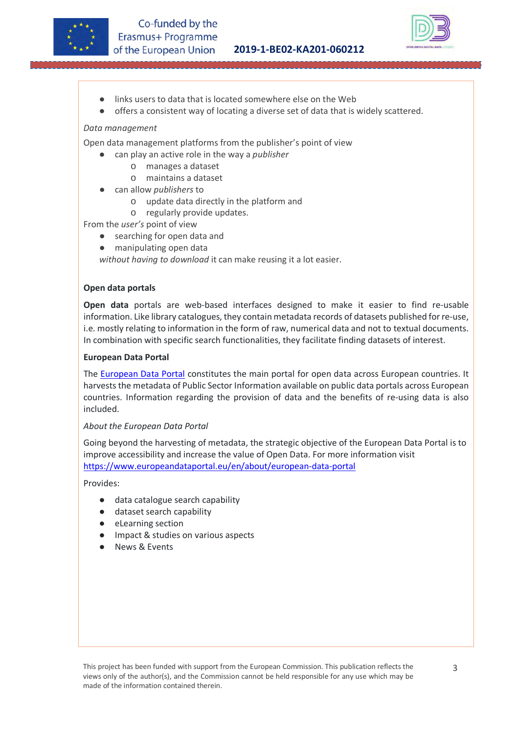



- links users to data that is located somewhere else on the Web
- offers a consistent way of locating a diverse set of data that is widely scattered.

## *Data management*

Open data management platforms from the publisher's point of view

- can play an active role in the way a *publisher* 
	- o manages a dataset
	- o maintains a dataset
- can allow *publishers* to
	- o update data directly in the platform and
	- o regularly provide updates.

From the *user's* point of view

- searching for open data and
- manipulating open data

*without having to download* it can make reusing it a lot easier.

#### **Open data portals**

**Open data** portals are web-based interfaces designed to make it easier to find re-usable information. Like library catalogues, they contain metadata records of datasets published for re-use, i.e. mostly relating to information in the form of raw, numerical data and not to textual documents. In combination with specific search functionalities, they facilitate finding datasets of interest.

#### **European Data Portal**

The **European Data Portal** constitutes the main portal for open data across European countries. It harvests the metadata of Public Sector Information available on public data portals across European countries. Information regarding the provision of data and the benefits of re-using data is also included.

*About the European Data Portal*

Going beyond the harvesting of metadata, the strategic objective of the European Data Portal is to improve accessibility and increase the value of Open Data. For more information visit <https://www.europeandataportal.eu/en/about/european-data-portal>

Provides:

- data catalogue search capability
- dataset search capability
- eLearning section
- Impact & studies on various aspects
- **News & Events**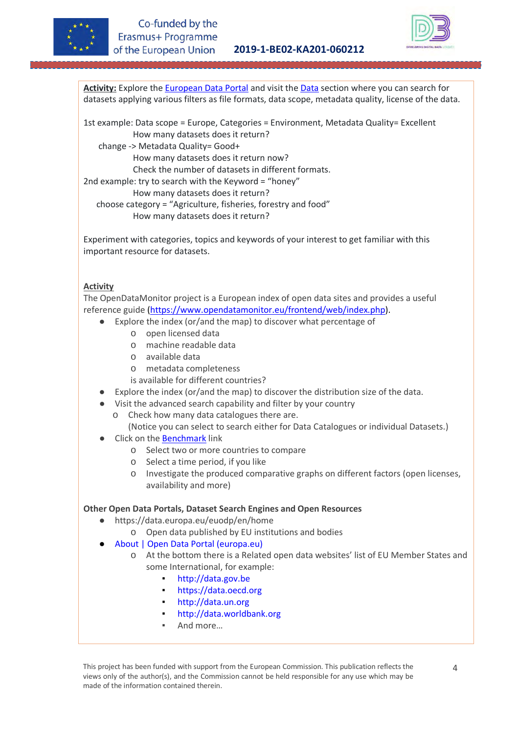



**Activity:** Explore the [European Data Portal](https://www.europeandataportal.eu/en) and visit the [Data](https://www.europeandataportal.eu/data/datasets?locale=en) section where you can search for datasets applying various filters as file formats, data scope, metadata quality, license of the data.

1st example: Data scope = Europe, Categories = Environment, Metadata Quality= Excellent How many datasets does it return?

change -> Metadata Quality= Good+

How many datasets does it return now?

Check the number of datasets in different formats.

2nd example: try to search with the Keyword = "honey"

How many datasets does it return?

choose category = "Agriculture, fisheries, forestry and food"

How many datasets does it return?

Experiment with categories, topics and keywords of your interest to get familiar with this important resource for datasets.

# **Activity**

The OpenDataMonitor project is a European index of open data sites and provides a useful reference guide [\(https://www.opendatamonitor.eu/frontend/web/index.php\)](https://www.opendatamonitor.eu/frontend/web/index.php).

- Explore the index (or/and the map) to discover what percentage of
	- o open licensed data
	- o machine readable data
	- o available data
	- o metadata completeness
	- is available for different countries?
- Explore the index (or/and the map) to discover the distribution size of the data.
- Visit the advanced search capability and filter by your country
	- o Check how many data catalogues there are.

(Notice you can select to search either for Data Catalogues or individual Datasets.)

- **Click on the [Benchmark](https://www.opendatamonitor.eu/frontend/web/index.php?r=dashboard%2Fcmpcountryindex) link** 
	- o Select two or more countries to compare
	- o Select a time period, if you like
	- o Investigate the produced comparative graphs on different factors (open licenses, availability and more)

### **Other Open Data Portals, Dataset Search Engines and Open Resources**

- <https://data.europa.eu/euodp/en/home>
	- o Open data published by EU institutions and bodies
- [About | Open Data Portal \(europa.eu\)](https://data.europa.eu/euodp/en/about)
	- o At the bottom there is a Related open data websites' list of EU Member States and some International, for example:
		- [http://data.gov.be](http://data.gov.be/)
		- [https://data.oecd.org](https://data.oecd.org/)
		- [http://data.un.org](http://data.un.org/)
		- http://data.worldbank.org
		- And more…

This project has been funded with support from the European Commission. This publication reflects the views only of the author(s), and the Commission cannot be held responsible for any use which may be made of the information contained therein.